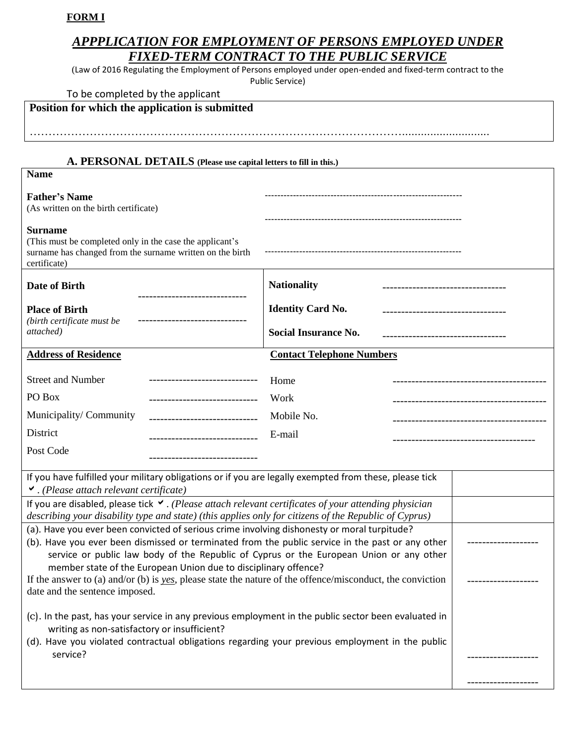# **FORM Ι**

# *APPPLICATION FOR EMPLOYMENT OF PERSONS EMPLOYED UNDER FIXED-TERM CONTRACT TO THE PUBLIC SERVICE*

(Law of 2016 Regulating the Employment of Persons employed under open-ended and fixed-term contract to the

Public Service)

| Position for which the application is submitted                                                                                                                                                                                                                                                                                                               |                                                                                           |                                    |
|---------------------------------------------------------------------------------------------------------------------------------------------------------------------------------------------------------------------------------------------------------------------------------------------------------------------------------------------------------------|-------------------------------------------------------------------------------------------|------------------------------------|
|                                                                                                                                                                                                                                                                                                                                                               |                                                                                           |                                    |
| A. PERSONAL DETAILS (Please use capital letters to fill in this.)<br><b>Name</b>                                                                                                                                                                                                                                                                              |                                                                                           |                                    |
| <b>Father's Name</b><br>(As written on the birth certificate)                                                                                                                                                                                                                                                                                                 |                                                                                           |                                    |
| <b>Surname</b><br>(This must be completed only in the case the applicant's<br>surname has changed from the surname written on the birth<br>certificate)                                                                                                                                                                                                       |                                                                                           |                                    |
| Date of Birth                                                                                                                                                                                                                                                                                                                                                 | <b>Nationality</b>                                                                        |                                    |
| <b>Place of Birth</b><br>(birth certificate must be<br>attached)                                                                                                                                                                                                                                                                                              | <b>Identity Card No.</b><br>------------------------------<br><b>Social Insurance No.</b> |                                    |
| <b>Address of Residence</b>                                                                                                                                                                                                                                                                                                                                   | <b>Contact Telephone Numbers</b>                                                          |                                    |
| <b>Street and Number</b>                                                                                                                                                                                                                                                                                                                                      | Home                                                                                      |                                    |
| PO Box<br>------------------------------                                                                                                                                                                                                                                                                                                                      | Work                                                                                      | ---------------------------------- |
| Municipality/Community<br>------------------------------                                                                                                                                                                                                                                                                                                      | Mobile No.                                                                                | --------------------------------   |
| District                                                                                                                                                                                                                                                                                                                                                      | E-mail                                                                                    |                                    |
| Post Code                                                                                                                                                                                                                                                                                                                                                     |                                                                                           |                                    |
| If you have fulfilled your military obligations or if you are legally exempted from these, please tick<br>$\vee$ . (Please attach relevant certificate)                                                                                                                                                                                                       |                                                                                           |                                    |
| If you are disabled, please tick $\vee$ . (Please attach relevant certificates of your attending physician<br>describing your disability type and state) (this applies only for citizens of the Republic of Cyprus)                                                                                                                                           |                                                                                           |                                    |
| (a). Have you ever been convicted of serious crime involving dishonesty or moral turpitude?<br>(b). Have you ever been dismissed or terminated from the public service in the past or any other<br>service or public law body of the Republic of Cyprus or the European Union or any other<br>member state of the European Union due to disciplinary offence? |                                                                                           |                                    |
| If the answer to (a) and/or (b) is yes, please state the nature of the offence/misconduct, the conviction<br>date and the sentence imposed.                                                                                                                                                                                                                   |                                                                                           |                                    |
| (c). In the past, has your service in any previous employment in the public sector been evaluated in<br>writing as non-satisfactory or insufficient?                                                                                                                                                                                                          |                                                                                           |                                    |
| (d). Have you violated contractual obligations regarding your previous employment in the public<br>service?                                                                                                                                                                                                                                                   |                                                                                           |                                    |

-------------------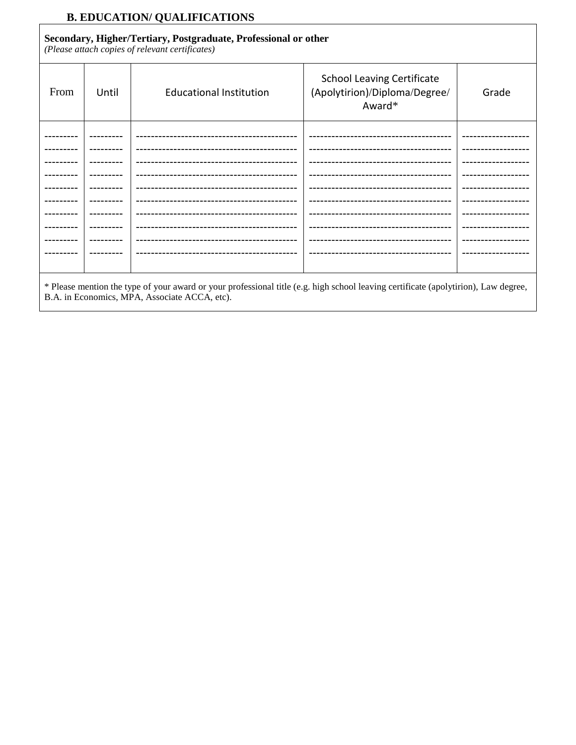# **B. EDUCATION/ QUALIFICATIONS**

### Secondary, Higher/Tertiary, Postgraduate, Professional or other

(Please attach copies of relevant certificates)

| From                            | Until | <b>Educational Institution</b>   | <b>School Leaving Certificate</b><br>(Apolytirion)/Diploma/Degree/<br>Award* | Grade          |
|---------------------------------|-------|----------------------------------|------------------------------------------------------------------------------|----------------|
|                                 |       |                                  | --------------------------------------                                       | ------------   |
|                                 |       |                                  |                                                                              |                |
|                                 |       | -------------------------------- |                                                                              |                |
|                                 |       |                                  | ------------------------------                                               |                |
|                                 |       |                                  |                                                                              |                |
|                                 |       |                                  | -------------------------------                                              |                |
|                                 |       |                                  |                                                                              |                |
|                                 |       |                                  | --------------------------------                                             | -------------  |
|                                 |       |                                  | -----------------------------------                                          |                |
|                                 |       |                                  |                                                                              | -------------- |
|                                 |       |                                  |                                                                              |                |
| $\mathbf{r}$ . The $\mathbf{r}$ |       |                                  |                                                                              |                |

\* Please mention the type of your award or your professional title (e.g. high school leaving certificate (apolytirion), Law degree, B.A. in Economics, MPA, Associate ACCA, etc).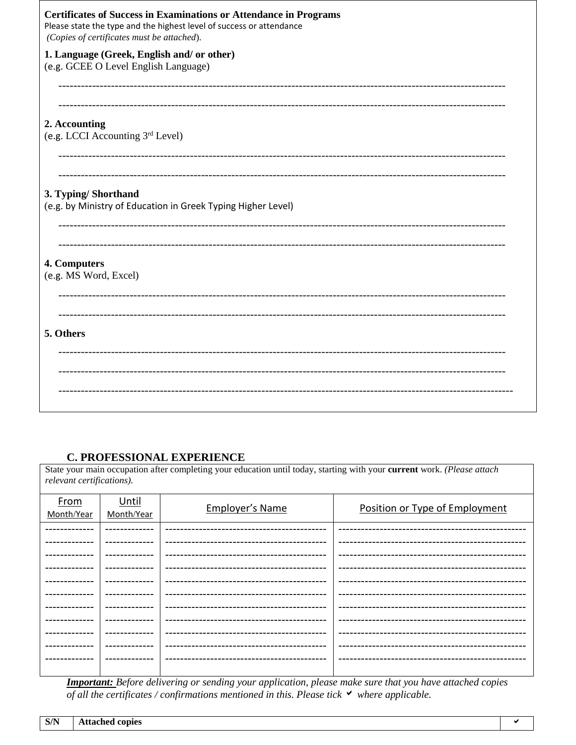| <b>Certificates of Success in Examinations or Attendance in Programs</b><br>Please state the type and the highest level of success or attendance<br>(Copies of certificates must be attached). |
|------------------------------------------------------------------------------------------------------------------------------------------------------------------------------------------------|
| 1. Language (Greek, English and/ or other)<br>(e.g. GCEE O Level English Language)                                                                                                             |
| 2. Accounting<br>(e.g. LCCI Accounting 3rd Level)                                                                                                                                              |
| 3. Typing/Shorthand<br>(e.g. by Ministry of Education in Greek Typing Higher Level)                                                                                                            |
| 4. Computers<br>(e.g. MS Word, Excel)                                                                                                                                                          |
| 5. Others                                                                                                                                                                                      |
|                                                                                                                                                                                                |

### **C. PROFESSIONAL EXPERIENCE**

State your main occupation after completing your education until today, starting with your current work. (Please attach relevant certifications).

| From<br>Month/Year | Until<br>Month/Year | <b>Employer's Name</b> | Position or Type of Employment |
|--------------------|---------------------|------------------------|--------------------------------|
|                    |                     |                        |                                |
|                    |                     |                        |                                |
|                    | -------------       |                        |                                |
|                    |                     |                        |                                |
|                    |                     |                        |                                |
|                    |                     |                        |                                |
|                    |                     |                        |                                |
|                    |                     |                        |                                |
|                    |                     |                        |                                |
|                    | -------------       |                        |                                |
|                    |                     |                        |                                |
|                    |                     |                        |                                |

<u>Important:</u> Before delivering or sending your application, please make sure that you have attached copies of all the certificates / confirmations mentioned in this. Please tick  $\checkmark$  where applicable.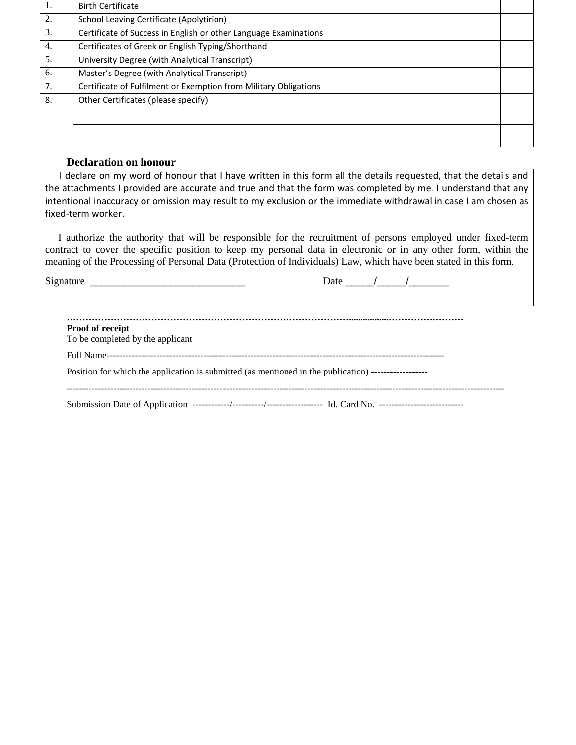| 1. | <b>Birth Certificate</b>                                         |  |
|----|------------------------------------------------------------------|--|
| 2. | School Leaving Certificate (Apolytirion)                         |  |
| 3. | Certificate of Success in English or other Language Examinations |  |
| 4. | Certificates of Greek or English Typing/Shorthand                |  |
| 5. | University Degree (with Analytical Transcript)                   |  |
| 6. | Master's Degree (with Analytical Transcript)                     |  |
| 7. | Certificate of Fulfilment or Exemption from Military Obligations |  |
| 8. | Other Certificates (please specify)                              |  |
|    |                                                                  |  |
|    |                                                                  |  |
|    |                                                                  |  |

#### **Declaration on honour**

 I declare on my word of honour that I have written in this form all the details requested, that the details and the attachments I provided are accurate and true and that the form was completed by me. I understand that any intentional inaccuracy or omission may result to my exclusion or the immediate withdrawal in case I am chosen as fixed-term worker.

 I authorize the authority that will be responsible for the recruitment of persons employed under fixed-term contract to cover the specific position to keep my personal data in electronic or in any other form, within the meaning of the Processing of Personal Data (Protection of Individuals) Law, which have been stated in this form.

Signature  $\frac{S_{\text{S}}}{S_{\text{S}}}-\frac{1}{S_{\text{S}}}-\frac{1}{S_{\text{S}}}-\frac{1}{S_{\text{S}}}-\frac{1}{S_{\text{S}}}-\frac{1}{S_{\text{S}}}-\frac{1}{S_{\text{S}}}-\frac{1}{S_{\text{S}}}-\frac{1}{S_{\text{S}}}-\frac{1}{S_{\text{S}}}-\frac{1}{S_{\text{S}}}-\frac{1}{S_{\text{S}}}-\frac{1}{S_{\text{S}}}-\frac{1}{S_{\text{S}}}-\frac{1}{S_{\text{S}}}-\frac{1}{S_{\text$ 

| <b>Proof of receipt</b><br>To be completed by the applicant                                          |
|------------------------------------------------------------------------------------------------------|
|                                                                                                      |
| Position for which the application is submitted (as mentioned in the publication) ------------------ |
|                                                                                                      |